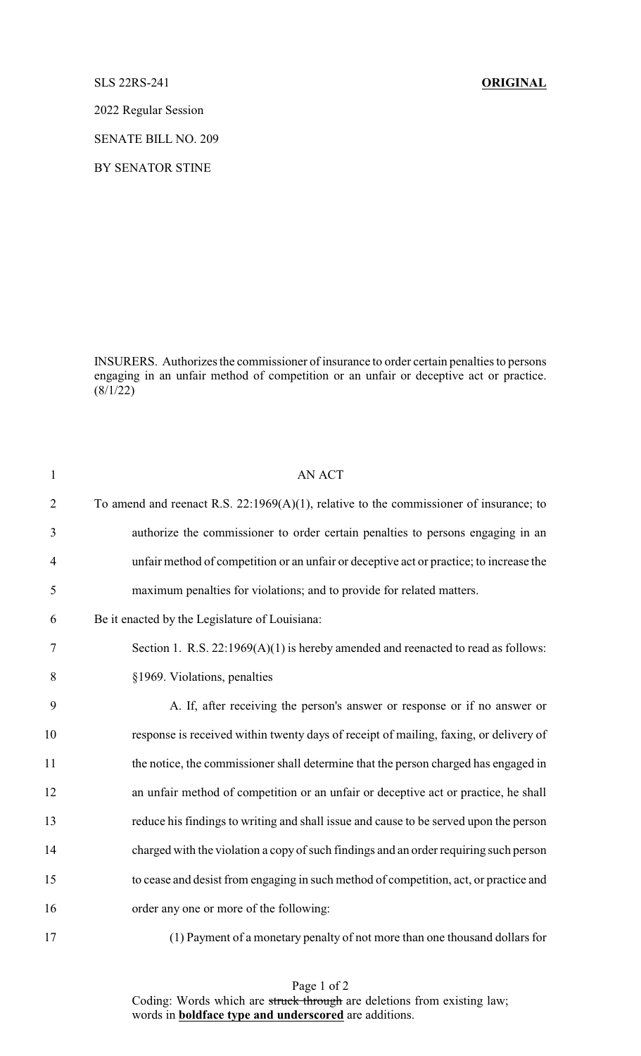SLS 22RS-241 **ORIGINAL**

2022 Regular Session

SENATE BILL NO. 209

BY SENATOR STINE

INSURERS. Authorizes the commissioner of insurance to order certain penalties to persons engaging in an unfair method of competition or an unfair or deceptive act or practice.  $(8/1/22)$ 

| 1              | <b>AN ACT</b>                                                                             |
|----------------|-------------------------------------------------------------------------------------------|
| $\overline{2}$ | To amend and reenact R.S. $22:1969(A)(1)$ , relative to the commissioner of insurance; to |
| 3              | authorize the commissioner to order certain penalties to persons engaging in an           |
| $\overline{4}$ | unfair method of competition or an unfair or deceptive act or practice; to increase the   |
| 5              | maximum penalties for violations; and to provide for related matters.                     |
| 6              | Be it enacted by the Legislature of Louisiana:                                            |
| 7              | Section 1. R.S. $22:1969(A)(1)$ is hereby amended and reenacted to read as follows:       |
| 8              | §1969. Violations, penalties                                                              |
| 9              | A. If, after receiving the person's answer or response or if no answer or                 |
| 10             | response is received within twenty days of receipt of mailing, faxing, or delivery of     |
| 11             | the notice, the commissioner shall determine that the person charged has engaged in       |
| 12             | an unfair method of competition or an unfair or deceptive act or practice, he shall       |
| 13             | reduce his findings to writing and shall issue and cause to be served upon the person     |
| 14             | charged with the violation a copy of such findings and an order requiring such person     |
| 15             | to cease and desist from engaging in such method of competition, act, or practice and     |
| 16             | order any one or more of the following:                                                   |
| 17             | (1) Payment of a monetary penalty of not more than one thousand dollars for               |

Page 1 of 2 Coding: Words which are struck through are deletions from existing law; words in **boldface type and underscored** are additions.